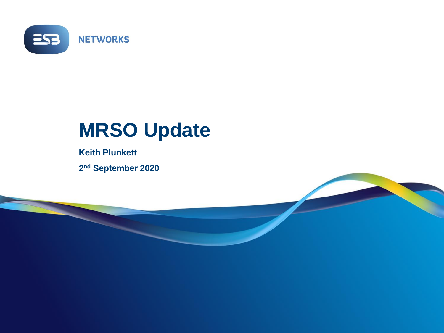

## **MRSO Update**

**Keith Plunkett 2 nd September 2020**

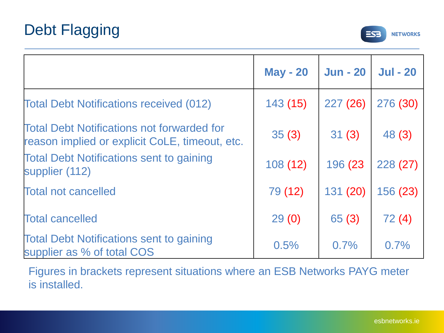

|                                                                                                     | <b>May - 20</b> | <b>Jun - 20</b> | <b>Jul - 20</b> |
|-----------------------------------------------------------------------------------------------------|-----------------|-----------------|-----------------|
| <b>Total Debt Notifications received (012)</b>                                                      | 143(15)         | 227(26)         | 276 (30)        |
| <b>Total Debt Notifications not forwarded for</b><br>reason implied or explicit CoLE, timeout, etc. | 35(3)           | 31(3)           | 48 (3)          |
| <b>Total Debt Notifications sent to gaining</b><br>supplier (112)                                   | 108(12)         | 196 (23         | 228(27)         |
| <b>Total not cancelled</b>                                                                          | 79 (12)         | 131 (20)        | 156 (23)        |
| <b>Total cancelled</b>                                                                              | 29(0)           | 65(3)           | 72(4)           |
| <b>Total Debt Notifications sent to gaining</b><br>supplier as % of total COS                       | 0.5%            | 0.7%            | 0.7%            |

Figures in brackets represent situations where an ESB Networks PAYG meter is installed.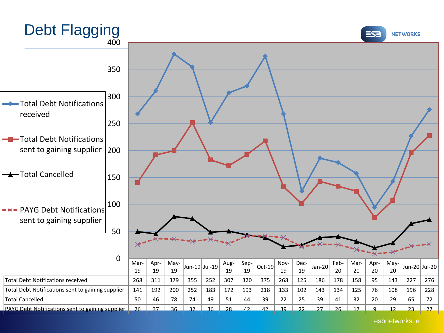

esbnetworks.ie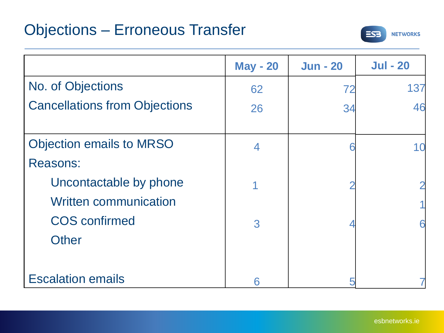

|                                      | <b>May - 20</b> | <b>Jun - 20</b> | <b>Jul - 20</b> |
|--------------------------------------|-----------------|-----------------|-----------------|
| No. of Objections                    | 62              | 72              | 137             |
| <b>Cancellations from Objections</b> | 26              | 34              | 46              |
|                                      |                 |                 |                 |
| <b>Objection emails to MRSO</b>      | 4               |                 | 10              |
| <b>Reasons:</b>                      |                 |                 |                 |
| Uncontactable by phone               |                 |                 | 2               |
| <b>Written communication</b>         |                 |                 |                 |
| <b>COS</b> confirmed                 | 3               |                 | 6               |
| <b>Other</b>                         |                 |                 |                 |
|                                      |                 |                 |                 |
| <b>Escalation emails</b>             | 6               |                 |                 |